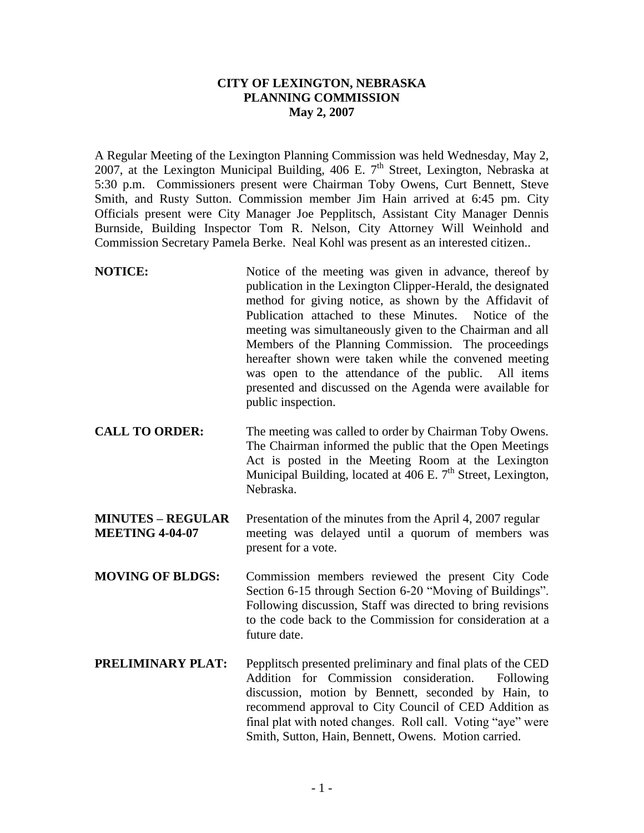## **CITY OF LEXINGTON, NEBRASKA PLANNING COMMISSION May 2, 2007**

A Regular Meeting of the Lexington Planning Commission was held Wednesday, May 2, 2007, at the Lexington Municipal Building,  $406$  E.  $7<sup>th</sup>$  Street, Lexington, Nebraska at 5:30 p.m. Commissioners present were Chairman Toby Owens, Curt Bennett, Steve Smith, and Rusty Sutton. Commission member Jim Hain arrived at 6:45 pm. City Officials present were City Manager Joe Pepplitsch, Assistant City Manager Dennis Burnside, Building Inspector Tom R. Nelson, City Attorney Will Weinhold and Commission Secretary Pamela Berke. Neal Kohl was present as an interested citizen..

- **NOTICE:** Notice of the meeting was given in advance, thereof by publication in the Lexington Clipper-Herald, the designated method for giving notice, as shown by the Affidavit of Publication attached to these Minutes. Notice of the meeting was simultaneously given to the Chairman and all Members of the Planning Commission. The proceedings hereafter shown were taken while the convened meeting was open to the attendance of the public. All items presented and discussed on the Agenda were available for public inspection.
- **CALL TO ORDER:** The meeting was called to order by Chairman Toby Owens. The Chairman informed the public that the Open Meetings Act is posted in the Meeting Room at the Lexington Municipal Building, located at  $406$  E.  $7<sup>th</sup>$  Street, Lexington, Nebraska.
- **MINUTES – REGULAR** Presentation of the minutes from the April 4, 2007 regular **MEETING 4-04-07** meeting was delayed until a quorum of members was present for a vote.
- **MOVING OF BLDGS:** Commission members reviewed the present City Code Section 6-15 through Section 6-20 "Moving of Buildings". Following discussion, Staff was directed to bring revisions to the code back to the Commission for consideration at a future date.
- **PRELIMINARY PLAT:** Pepplitsch presented preliminary and final plats of the CED Addition for Commission consideration. Following discussion, motion by Bennett, seconded by Hain, to recommend approval to City Council of CED Addition as final plat with noted changes. Roll call. Voting "aye" were Smith, Sutton, Hain, Bennett, Owens. Motion carried.